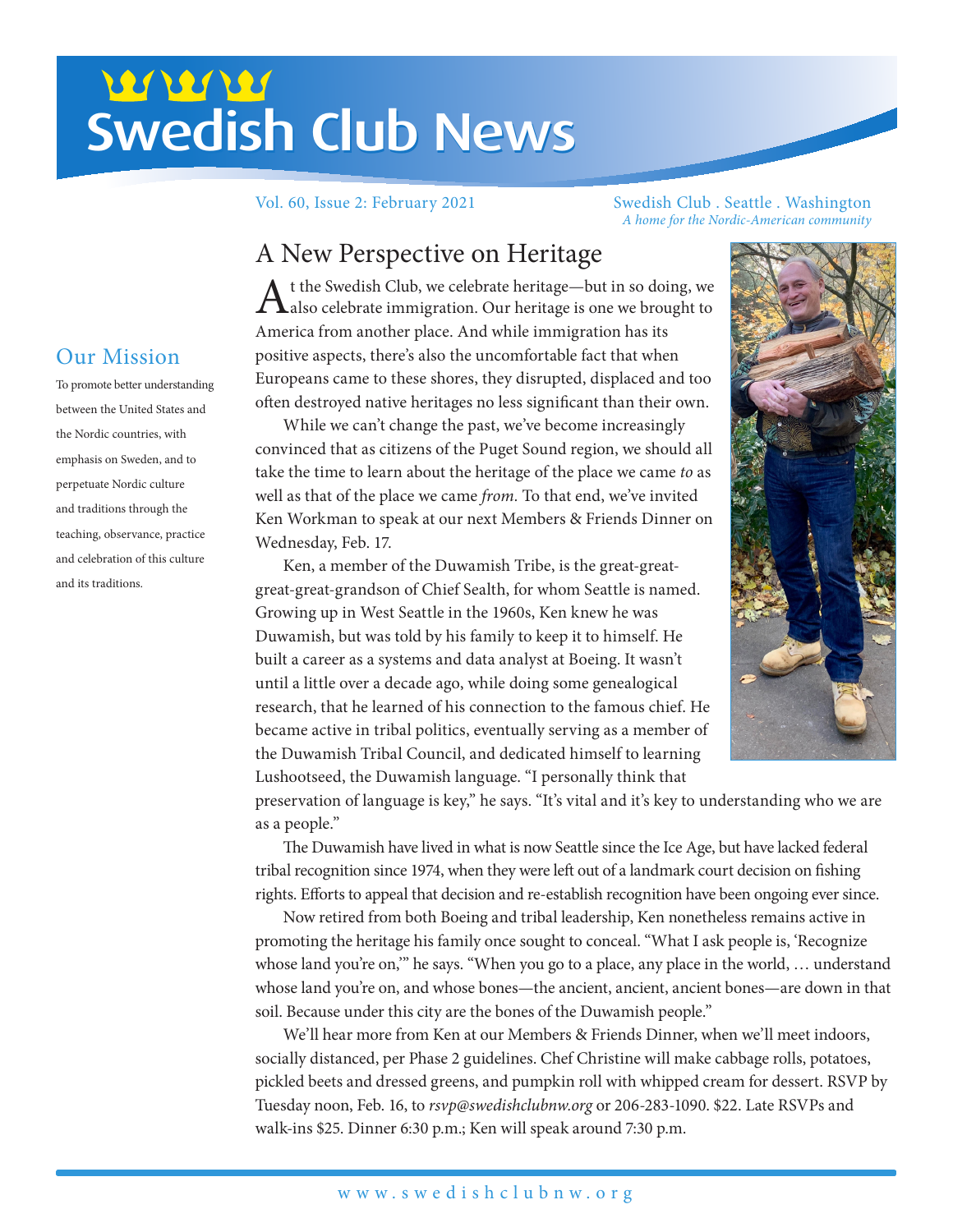# Swedish Club News Swedish Club News

Vol. 60, Issue 2: February 2021 Swedish Club . Seattle . Washington *A home for the Nordic-American community*

# A New Perspective on Heritage

 $A$ t the Swedish Club, we celebrate heritage—but in so doing, we also celebrate immigration. Our heritage is one we brought to America from another place. And while immigration has its positive aspects, there's also the uncomfortable fact that when Europeans came to these shores, they disrupted, displaced and too often destroyed native heritages no less significant than their own.

While we can't change the past, we've become increasingly convinced that as citizens of the Puget Sound region, we should all take the time to learn about the heritage of the place we came *to* as well as that of the place we came *from.* To that end, we've invited Ken Workman to speak at our next Members & Friends Dinner on Wednesday, Feb. 17.

Ken, a member of the Duwamish Tribe, is the great-greatgreat-great-grandson of Chief Sealth, for whom Seattle is named. Growing up in West Seattle in the 1960s, Ken knew he was Duwamish, but was told by his family to keep it to himself. He built a career as a systems and data analyst at Boeing. It wasn't until a little over a decade ago, while doing some genealogical research, that he learned of his connection to the famous chief. He became active in tribal politics, eventually serving as a member of the Duwamish Tribal Council, and dedicated himself to learning Lushootseed, the Duwamish language. "I personally think that



preservation of language is key," he says. "It's vital and it's key to understanding who we are as a people."

The Duwamish have lived in what is now Seattle since the Ice Age, but have lacked federal tribal recognition since 1974, when they were left out of a landmark court decision on fishing rights. Efforts to appeal that decision and re-establish recognition have been ongoing ever since.

Now retired from both Boeing and tribal leadership, Ken nonetheless remains active in promoting the heritage his family once sought to conceal. "What I ask people is, 'Recognize whose land you're on," he says. "When you go to a place, any place in the world, ... understand whose land you're on, and whose bones—the ancient, ancient, ancient bones—are down in that soil. Because under this city are the bones of the Duwamish people."

We'll hear more from Ken at our Members & Friends Dinner, when we'll meet indoors, socially distanced, per Phase 2 guidelines. Chef Christine will make cabbage rolls, potatoes, pickled beets and dressed greens, and pumpkin roll with whipped cream for dessert. RSVP by Tuesday noon, Feb. 16, to *rsvp@swedishclubnw.org* or 206-283-1090. \$22. Late RSVPs and walk-ins \$25. Dinner 6:30 p.m.; Ken will speak around 7:30 p.m.

# Our Mission

To promote better understanding between the United States and the Nordic countries, with emphasis on Sweden, and to perpetuate Nordic culture and traditions through the teaching, observance, practice and celebration of this culture and its traditions.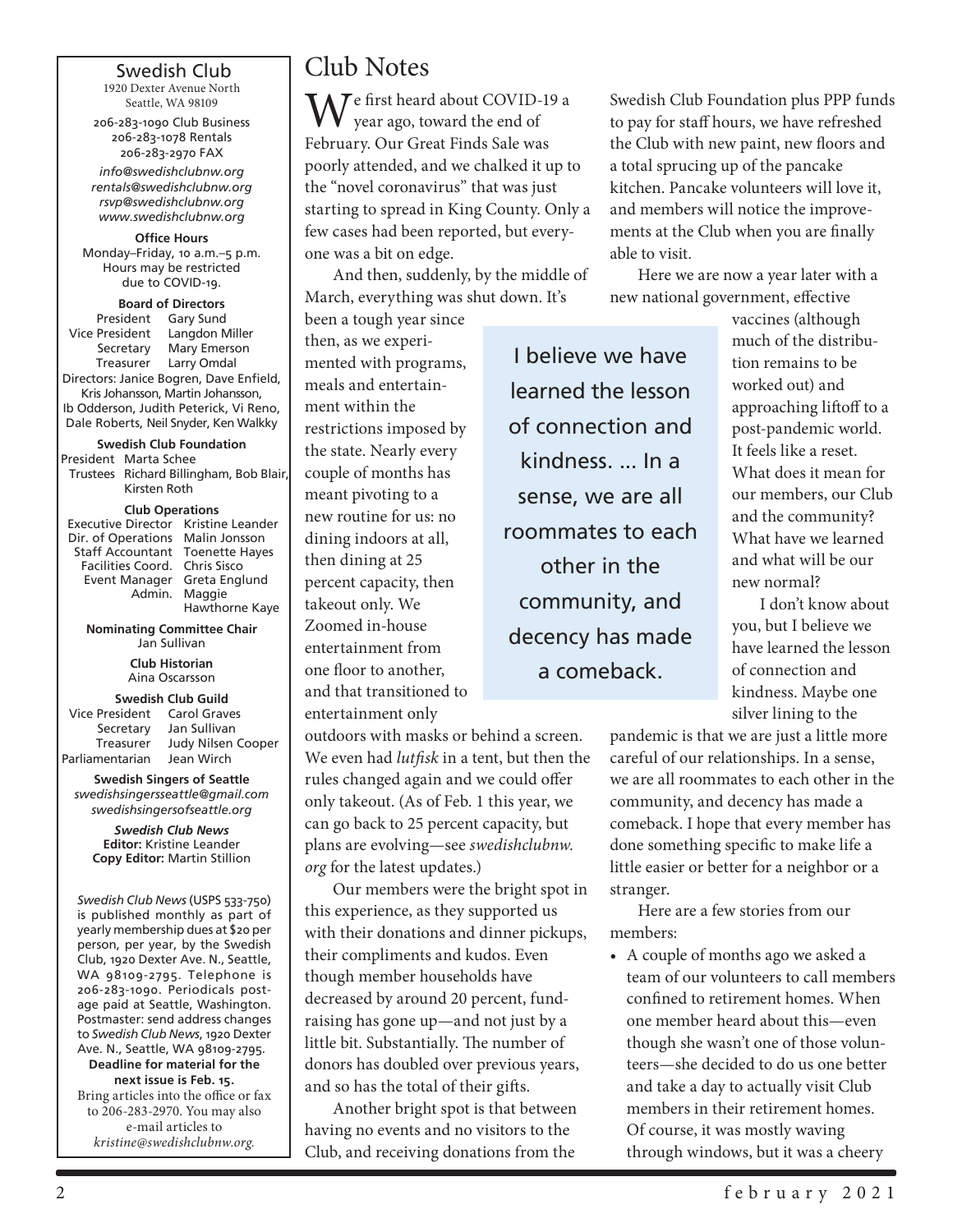#### Swedish Club

1920 Dexter Avenue North Seattle, WA 98109

206-283-1090 Club Business 206-283-1078 Rentals 206-283-2970 FAX

*info@swedishclubnw.org rentals@swedishclubnw.org rsvp@swedishclubnw.org www.swedishclubnw.org*

**Office Hours** Monday–Friday, 10 a.m.–5 p.m. Hours may be restricted due to COVID-19.

#### **Board of Directors**

President Gary Sund<br>Vice President Langdon N Langdon Miller Secretary Mary Emerson Treasurer Larry Omdal Directors: Janice Bogren, Dave Enfield, Kris Johansson, Martin Johansson, Ib Odderson, Judith Peterick, Vi Reno, Dale Roberts, Neil Snyder, Ken Walkky

**Swedish Club Foundation** President Marta Schee

Trustees Richard Billingham, Bob Blair, Kirsten Roth

#### **Club Operations**

| Executive Director Kristine Leander |                |
|-------------------------------------|----------------|
| Dir. of Operations Malin Jonsson    |                |
| Staff Accountant Toenette Hayes     |                |
| Facilities Coord. Chris Sisco       |                |
| Event Manager Greta Englund         |                |
|                                     | Admin. Maggie  |
|                                     | Hawthorne Kaye |

**Nominating Committee Chair** Jan Sullivan

> **Club Historian** Aina Oscarsson

#### **Swedish Club Guild**

| Vice President  | Carol Graves       |
|-----------------|--------------------|
| Secretary       | Jan Sullivan       |
| Treasurer       | Judy Nilsen Cooper |
| Parliamentarian | Jean Wirch         |

**Swedish Singers of Seattle** *swedishsingersseattle@gmail.com swedishsingersofseattle.org*

*Swedish Club News* **Editor:** Kristine Leander **Copy Editor:** Martin Stillion

*Swedish Club News* (USPS 533-750) is published monthly as part of yearly membership dues at \$20 per person, per year, by the Swedish Club, 1920 Dexter Ave. N., Seattle, WA 98109-2795. Telephone is 206-283-1090. Periodicals postage paid at Seattle, Washington. Postmaster: send address changes to *Swedish Club News*, 1920 Dexter Ave. N., Seattle, WA 98109-2795.

**Deadline for material for the next issue is Feb. 15.** Bring articles into the office or fax to 206-283-2970. You may also e-mail articles to *kristine@swedishclubnw.org.*

# Club Notes

**M**  $\overline{I}$  e first heard about COVID-19 a year ago, toward the end of February. Our Great Finds Sale was poorly attended, and we chalked it up to the "novel coronavirus" that was just starting to spread in King County. Only a few cases had been reported, but everyone was a bit on edge.

And then, suddenly, by the middle of March, everything was shut down. It's

been a tough year since then, as we experimented with programs, meals and entertainment within the restrictions imposed by the state. Nearly every couple of months has meant pivoting to a new routine for us: no dining indoors at all, then dining at 25 percent capacity, then takeout only. We Zoomed in-house entertainment from one floor to another, and that transitioned to entertainment only

outdoors with masks or behind a screen. We even had *lutfisk* in a tent, but then the rules changed again and we could offer only takeout. (As of Feb. 1 this year, we can go back to 25 percent capacity, but plans are evolving—see *swedishclubnw. org* for the latest updates.)

Our members were the bright spot in this experience, as they supported us with their donations and dinner pickups, their compliments and kudos. Even though member households have decreased by around 20 percent, fundraising has gone up—and not just by a little bit. Substantially. The number of donors has doubled over previous years, and so has the total of their gifts.

Another bright spot is that between having no events and no visitors to the Club, and receiving donations from the

Swedish Club Foundation plus PPP funds to pay for staff hours, we have refreshed the Club with new paint, new floors and a total sprucing up of the pancake kitchen. Pancake volunteers will love it, and members will notice the improvements at the Club when you are finally able to visit.

Here we are now a year later with a new national government, effective

I believe we have learned the lesson of connection and kindness. ... In a sense, we are all roommates to each other in the community, and decency has made a comeback.

vaccines (although much of the distribution remains to be worked out) and approaching liftoff to a post-pandemic world. It feels like a reset. What does it mean for our members, our Club and the community? What have we learned and what will be our new normal?

I don't know about you, but I believe we have learned the lesson of connection and kindness. Maybe one silver lining to the

pandemic is that we are just a little more careful of our relationships. In a sense, we are all roommates to each other in the community, and decency has made a comeback. I hope that every member has done something specific to make life a little easier or better for a neighbor or a stranger.

Here are a few stories from our members:

• A couple of months ago we asked a team of our volunteers to call members confined to retirement homes. When one member heard about this—even though she wasn't one of those volunteers—she decided to do us one better and take a day to actually visit Club members in their retirement homes. Of course, it was mostly waving through windows, but it was a cheery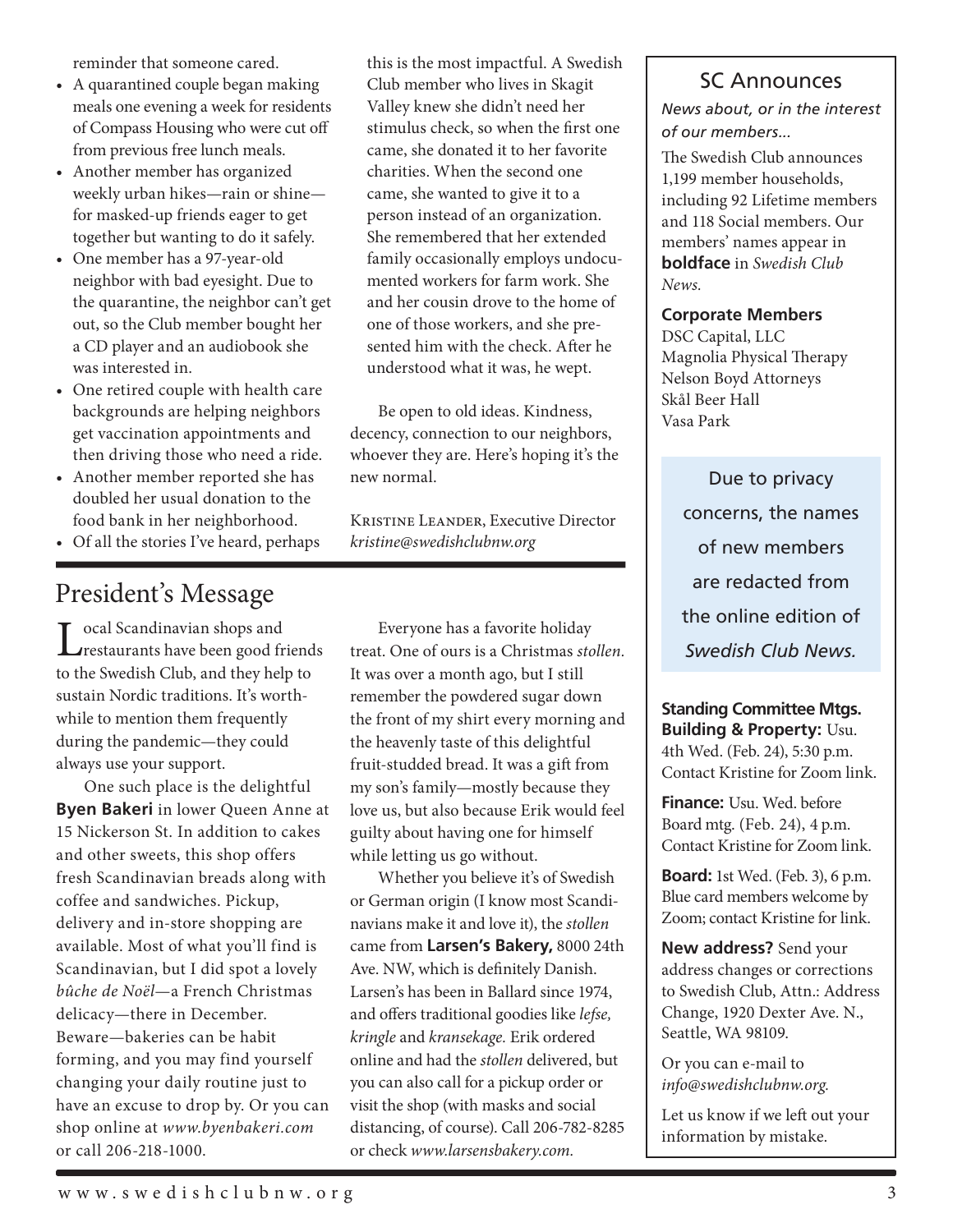reminder that someone cared.

- A quarantined couple began making meals one evening a week for residents of Compass Housing who were cut off from previous free lunch meals.
- Another member has organized weekly urban hikes—rain or shine for masked-up friends eager to get together but wanting to do it safely.
- • One member has a 97-year-old neighbor with bad eyesight. Due to the quarantine, the neighbor can't get out, so the Club member bought her a CD player and an audiobook she was interested in.
- • One retired couple with health care backgrounds are helping neighbors get vaccination appointments and then driving those who need a ride.
- Another member reported she has doubled her usual donation to the food bank in her neighborhood.
- • Of all the stories I've heard, perhaps

# President's Message

Local Scandinavian shops and<br>
restaurants have been good friends to the Swedish Club, and they help to sustain Nordic traditions. It's worthwhile to mention them frequently during the pandemic—they could always use your support.

One such place is the delightful **Byen Bakeri** in lower Queen Anne at 15 Nickerson St. In addition to cakes and other sweets, this shop offers fresh Scandinavian breads along with coffee and sandwiches. Pickup, delivery and in-store shopping are available. Most of what you'll find is Scandinavian, but I did spot a lovely *bûche de Noël*—a French Christmas delicacy—there in December. Beware—bakeries can be habit forming, and you may find yourself changing your daily routine just to have an excuse to drop by. Or you can shop online at *www.byenbakeri.com* or call 206-218-1000.

this is the most impactful. A Swedish Club member who lives in Skagit Valley knew she didn't need her stimulus check, so when the first one came, she donated it to her favorite charities. When the second one came, she wanted to give it to a person instead of an organization. She remembered that her extended family occasionally employs undocumented workers for farm work. She and her cousin drove to the home of one of those workers, and she presented him with the check. After he understood what it was, he wept.

Be open to old ideas. Kindness, decency, connection to our neighbors, whoever they are. Here's hoping it's the new normal.

Kristine Leander, Executive Director *kristine@swedishclubnw.org*

Everyone has a favorite holiday treat. One of ours is a Christmas *stollen.* It was over a month ago, but I still remember the powdered sugar down the front of my shirt every morning and the heavenly taste of this delightful fruit-studded bread. It was a gift from my son's family—mostly because they love us, but also because Erik would feel guilty about having one for himself while letting us go without.

Whether you believe it's of Swedish or German origin (I know most Scandinavians make it and love it), the *stollen* came from **Larsen's Bakery,** 8000 24th Ave. NW, which is definitely Danish. Larsen's has been in Ballard since 1974, and offers traditional goodies like *lefse, kringle* and *kransekage.* Erik ordered online and had the *stollen* delivered, but you can also call for a pickup order or visit the shop (with masks and social distancing, of course). Call 206-782-8285 or check *www.larsensbakery.com.*

## SC Announces

*News about, or in the interest of our members...*

The Swedish Club announces 1,199 member households, including 92 Lifetime members and 118 Social members. Our members' names appear in **boldface** in *Swedish Club News.*

#### **Corporate Members**

DSC Capital, LLC Magnolia Physical Therapy Nelson Boyd Attorneys Skål Beer Hall Vasa Park

> Due to privacy concerns, the names of new members are redacted from the online edition of *Swedish Club News.*

#### **Standing Committee Mtgs. Building & Property:** Usu. 4th Wed. (Feb. 24), 5:30 p.m. Contact Kristine for Zoom link.

**Finance:** Usu. Wed. before Board mtg. (Feb. 24), 4 p.m. Contact Kristine for Zoom link.

**Board:** 1st Wed. (Feb. 3), 6 p.m. Blue card members welcome by Zoom; contact Kristine for link.

**New address?** Send your address changes or corrections to Swedish Club, Attn.: Address Change, 1920 Dexter Ave. N., Seattle, WA 98109.

Or you can e-mail to *info@swedishclubnw.org.*

Let us know if we left out your information by mistake.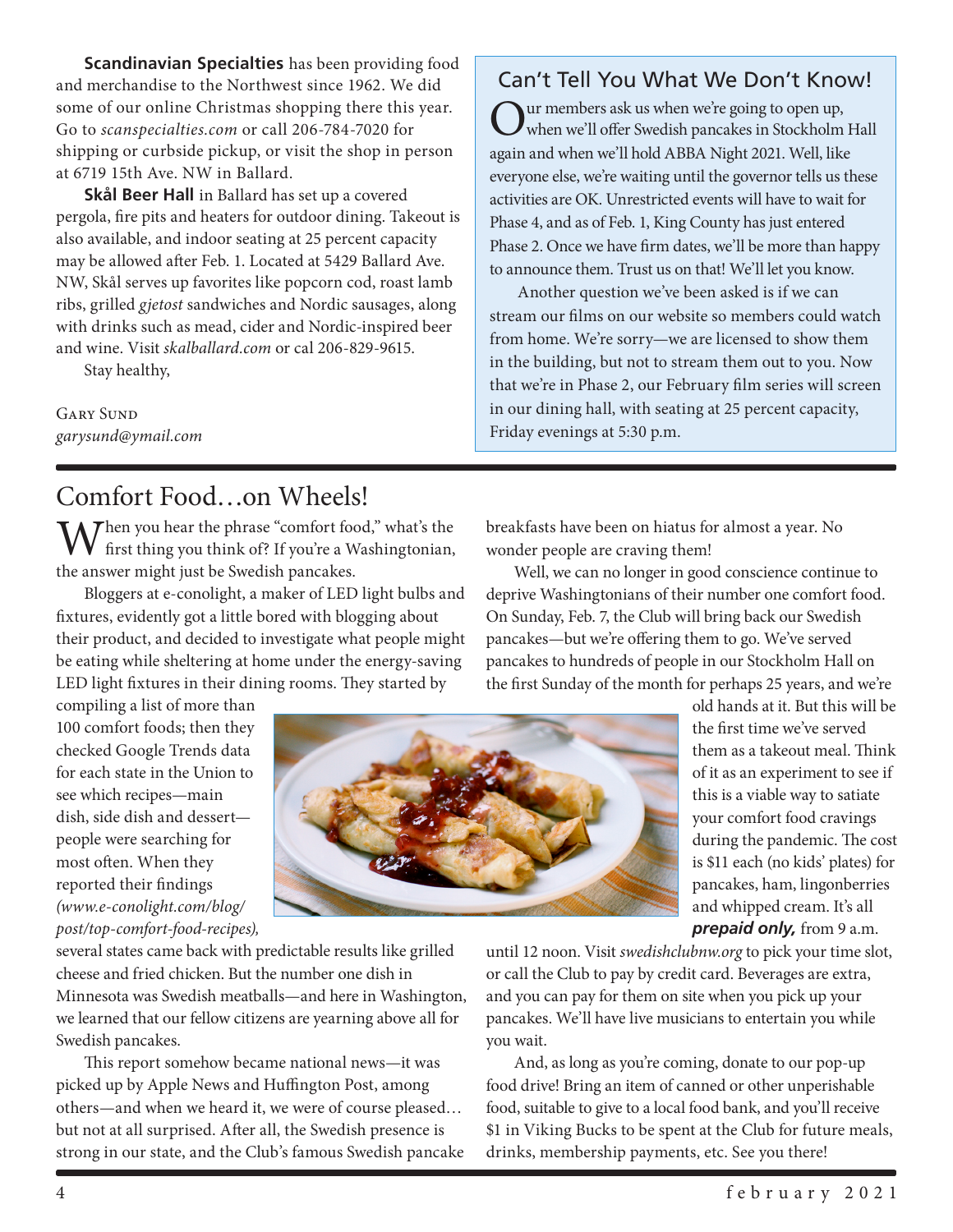**Scandinavian Specialties** has been providing food and merchandise to the Northwest since 1962. We did some of our online Christmas shopping there this year. Go to *scanspecialties.com* or call 206-784-7020 for shipping or curbside pickup, or visit the shop in person at 6719 15th Ave. NW in Ballard.

**Skål Beer Hall** in Ballard has set up a covered pergola, fire pits and heaters for outdoor dining. Takeout is also available, and indoor seating at 25 percent capacity may be allowed after Feb. 1. Located at 5429 Ballard Ave. NW, Skål serves up favorites like popcorn cod, roast lamb ribs, grilled *gjetost* sandwiches and Nordic sausages, along with drinks such as mead, cider and Nordic-inspired beer and wine. Visit *skalballard.com* or cal 206-829-9615.

Stay healthy,

GARY SUND *garysund@ymail.com*

# Comfort Food…on Wheels!

 $M$  Then you hear the phrase "comfort food," what's the  $\mathbf V$  first thing you think of? If you're a Washingtonian, the answer might just be Swedish pancakes.

Bloggers at e-conolight, a maker of LED light bulbs and fixtures, evidently got a little bored with blogging about their product, and decided to investigate what people might be eating while sheltering at home under the energy-saving LED light fixtures in their dining rooms. They started by

compiling a list of more than 100 comfort foods; then they checked Google Trends data for each state in the Union to see which recipes—main dish, side dish and dessert people were searching for most often. When they reported their findings *(www.e-conolight.com/blog/ post/top-comfort-food-recipes),*



several states came back with predictable results like grilled cheese and fried chicken. But the number one dish in Minnesota was Swedish meatballs—and here in Washington, we learned that our fellow citizens are yearning above all for Swedish pancakes.

This report somehow became national news—it was picked up by Apple News and Huffington Post, among others—and when we heard it, we were of course pleased… but not at all surprised. After all, the Swedish presence is strong in our state, and the Club's famous Swedish pancake

# Can't Tell You What We Don't Know!

Uur members ask us when we're going to open up, when we'll offer Swedish pancakes in Stockholm Hall again and when we'll hold ABBA Night 2021. Well, like everyone else, we're waiting until the governor tells us these activities are OK. Unrestricted events will have to wait for Phase 4, and as of Feb. 1, King County has just entered Phase 2. Once we have firm dates, we'll be more than happy to announce them. Trust us on that! We'll let you know.

Another question we've been asked is if we can stream our films on our website so members could watch from home. We're sorry—we are licensed to show them in the building, but not to stream them out to you. Now that we're in Phase 2, our February film series will screen in our dining hall, with seating at 25 percent capacity, Friday evenings at 5:30 p.m.

breakfasts have been on hiatus for almost a year. No wonder people are craving them!

Well, we can no longer in good conscience continue to deprive Washingtonians of their number one comfort food. On Sunday, Feb. 7, the Club will bring back our Swedish pancakes—but we're offering them to go. We've served pancakes to hundreds of people in our Stockholm Hall on the first Sunday of the month for perhaps 25 years, and we're

old hands at it. But this will be the first time we've served them as a takeout meal. Think of it as an experiment to see if this is a viable way to satiate your comfort food cravings during the pandemic. The cost is \$11 each (no kids' plates) for pancakes, ham, lingonberries and whipped cream. It's all *prepaid only,* from 9 a.m.

until 12 noon. Visit *swedishclubnw.org* to pick your time slot, or call the Club to pay by credit card. Beverages are extra, and you can pay for them on site when you pick up your pancakes. We'll have live musicians to entertain you while you wait.

And, as long as you're coming, donate to our pop-up food drive! Bring an item of canned or other unperishable food, suitable to give to a local food bank, and you'll receive \$1 in Viking Bucks to be spent at the Club for future meals, drinks, membership payments, etc. See you there!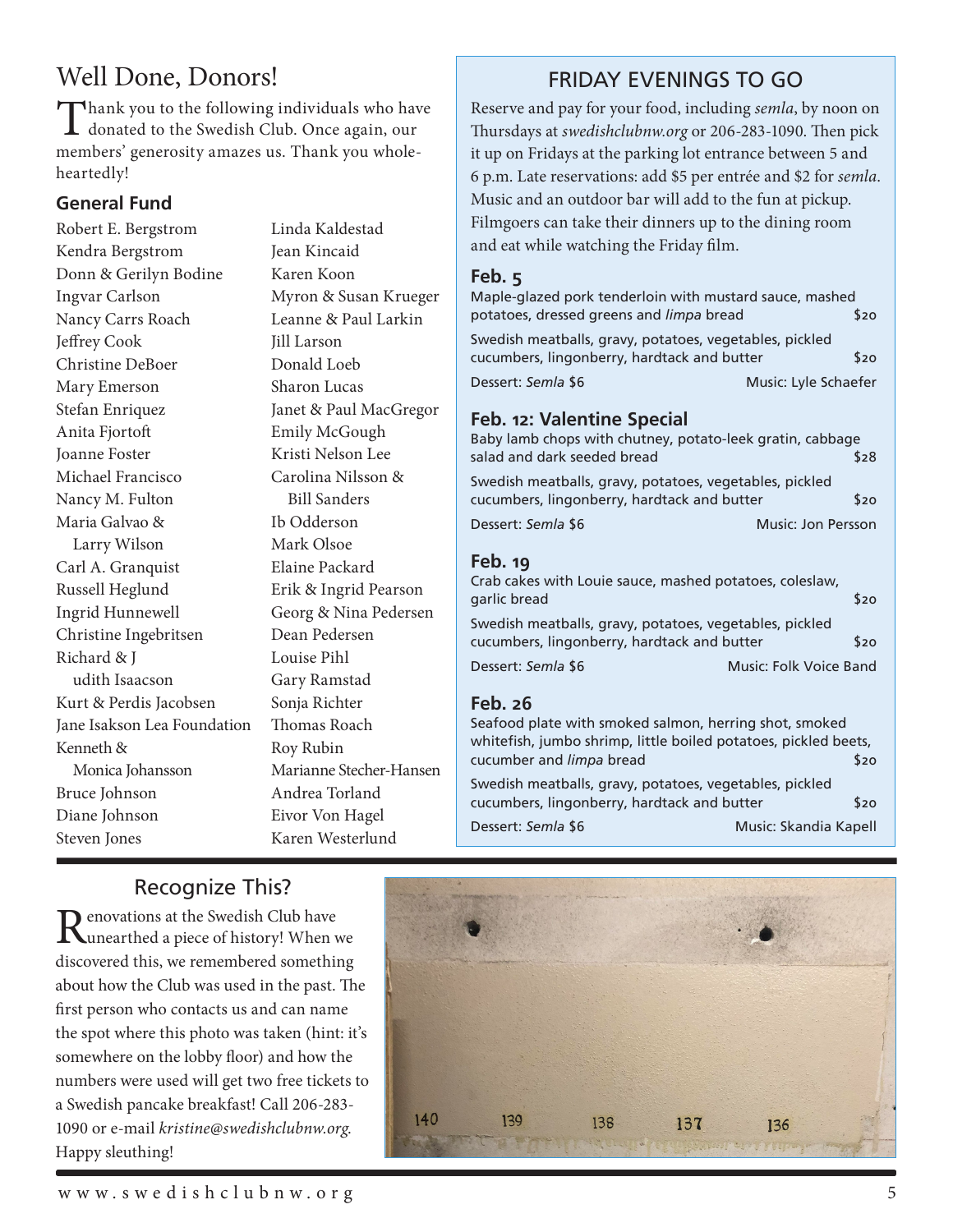# Well Done, Donors!

Thank you to the following individuals who have donated to the Swedish Club. Once again, our members' generosity amazes us. Thank you wholeheartedly!

#### **General Fund**

Robert E. Bergstrom Kendra Bergstrom Donn & Gerilyn Bodine Ingvar Carlson Nancy Carrs Roach Jeffrey Cook Christine DeBoer Mary Emerson Stefan Enriquez Anita Fjortoft Joanne Foster Michael Francisco Nancy M. Fulton Maria Galvao & Larry Wilson Carl A. Granquist Russell Heglund Ingrid Hunnewell Christine Ingebritsen Richard & J udith Isaacson Kurt & Perdis Jacobsen Jane Isakson Lea Foundation Kenneth & Monica Johansson Bruce Johnson Diane Johnson Steven Jones

Linda Kaldestad Jean Kincaid Karen Koon Myron & Susan Krueger Leanne & Paul Larkin Jill Larson Donald Loeb Sharon Lucas Janet & Paul MacGregor Emily McGough Kristi Nelson Lee Carolina Nilsson & Bill Sanders Ib Odderson Mark Olsoe Elaine Packard Erik & Ingrid Pearson Georg & Nina Pedersen Dean Pedersen Louise Pihl Gary Ramstad Sonja Richter Thomas Roach Roy Rubin Marianne Stecher-Hansen Andrea Torland Eivor Von Hagel Karen Westerlund

# FRIDAY EVENINGS TO GO

Reserve and pay for your food, including *semla*, by noon on Thursdays at *swedishclubnw.org* or 206-283-1090. Then pick it up on Fridays at the parking lot entrance between 5 and 6 p.m. Late reservations: add \$5 per entrée and \$2 for *semla*. Music and an outdoor bar will add to the fun at pickup. Filmgoers can take their dinners up to the dining room and eat while watching the Friday film.

#### **Feb. 5**

| Maple-glazed pork tenderloin with mustard sauce, mashed |                      |
|---------------------------------------------------------|----------------------|
| potatoes, dressed greens and limpa bread                | \$20                 |
| Swedish meatballs, gravy, potatoes, vegetables, pickled |                      |
| cucumbers, lingonberry, hardtack and butter             | \$20                 |
| Dessert: Semla \$6                                      | Music: Lyle Schaefer |

#### **Feb. 12: Valentine Special**

| Eale sa                                                                                                |                    |
|--------------------------------------------------------------------------------------------------------|--------------------|
| Dessert: Semla \$6                                                                                     | Music: Jon Persson |
| Swedish meatballs, gravy, potatoes, vegetables, pickled<br>cucumbers, lingonberry, hardtack and butter | \$20               |
| Baby lamb chops with chutney, potato-leek gratin, cabbage<br>salad and dark seeded bread               | \$28               |
|                                                                                                        |                    |

#### **Feb. 19**

| Crab cakes with Louie sauce, mashed potatoes, coleslaw, |                        |      |
|---------------------------------------------------------|------------------------|------|
| garlic bread                                            |                        | \$20 |
| Swedish meatballs, gravy, potatoes, vegetables, pickled |                        |      |
| cucumbers, lingonberry, hardtack and butter             |                        | \$20 |
| Dessert: Semla \$6                                      | Music: Folk Voice Band |      |

#### **Feb. 26**

| Seafood plate with smoked salmon, herring shot, smoked          |                       |      |
|-----------------------------------------------------------------|-----------------------|------|
| whitefish, jumbo shrimp, little boiled potatoes, pickled beets, |                       |      |
| cucumber and <i>limpa</i> bread                                 |                       | \$20 |
| Swedish meatballs, gravy, potatoes, vegetables, pickled         |                       |      |
| cucumbers, lingonberry, hardtack and butter                     |                       | \$20 |
| Dessert: Semla \$6                                              | Music: Skandia Kapell |      |

# Recognize This?

Renovations at the Swedish Club have<br>
Runearthed a piece of history! When we discovered this, we remembered something about how the Club was used in the past. The first person who contacts us and can name the spot where this photo was taken (hint: it's somewhere on the lobby floor) and how the numbers were used will get two free tickets to a Swedish pancake breakfast! Call 206-283- 1090 or e-mail *kristine@swedishclubnw.org*. Happy sleuthing!